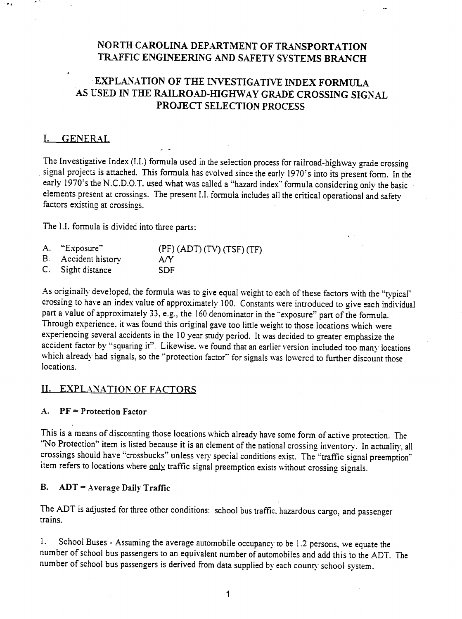## NORTH CAROLINA DEPARTMENT OF TRANSPORTATION TRAFFIC ENGINEERING AND SAFETY SYSTEMS BRANCH

,,- -, -

# EXPLANATION OF THE INVESTIGATIVE INDEX FORMULA AS USED IN THE RAILROAD-HIGHWAY GRADE CROSSING SIGNAL PROJECT SELECTION PROCESS

## I. GENERAL

.

The Investigative Index (1.1.) formula used in the selection process for railroad-highway grade crossing signal projects is attached. This formula has evolved since the early 1970's into its present form. In the early 1970's the N.C.D.O.T. used what was called a "hazard index" formula considering only the basic elements present at crossings. The present 1.1. formula includes all the critical operational and safety factors existing at crossings.

The 1.1. formula is divided into three parts:

- A. "Exposure" (PF) (ADT) (TV) (TSF) (TF)
- B. Accident history A/Y
- C. Sight distance SDF

As originally developed, the formula was to give equal weight to each of these factors with the "typical" crossing to have an index value of approximately 100. Constants were introduced to give each individual part a value of approximately 33, e.g., the 160 denominator in the "exposure" part of the formula. Through experience, it was found this original gave too little weight to those locations which were experiencing several accidents in the 10 year study period. It was decided to greater emphasize the accident factor by "squaring it". Likewise, we found that an earlier version included too many locations which already had signals, so the "protection factor" for signals was lowered to further discount those locations.

### II. EXPLANATION OF FACTORS

#### A. PF = Protection Factor

This is a means of discounting those locations which already have some form of active protection. The "No Protection" item is listed because it is an element of the national crossing inventory. In actuality, all crossings should have "crossbucks" unless very special conditions exist. The "traffic signal preemption" item refers to locations where only traffic signal preemption exists without crossing signals.

#### B.  $ADT = Average Daily Traffic$

The ADT is adjusted for three other conditions: school bus traffic. hazardous cargo, and passenger trains.

1. School Buses - Assuming the average automobile occupancy to be 1.2 persons, we equate the number of school bus passengers to an equivalent number of automobiles and add this to the ADT. The number of school bus passengers is derived from data supplied by each county school system.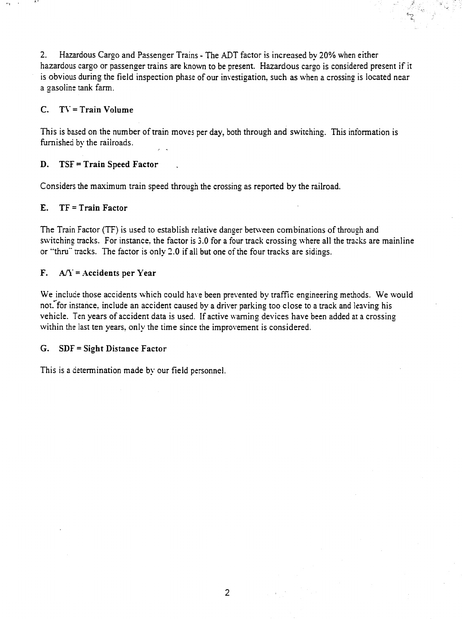2. Hazardous Cargo and Passenger Trains - The ADT factor is increased by 20% when either hazardous cargo or passenger trains are known to be present. Hazardous cargo is considered present if it is obvious during the field inspection phase of our investigation, such as when a crossing is located near a gasoline tank farm.

,. ".. ' \"

**~** 

### C. T\' = Train Volume

This is based on the number of train moves per day, both through and switching. This intormation is furnished by the railroads.

### D. TSF = Train Speed Factor

Considers the maximum train speed through the crossing as reported by the railroad.

### E. TF = Train Factor

The Train Factor (TF) is used to establish relative danger between combinations of through and switching tracks. For instance, the factor is 3.0 for a four track crossing where all the tracks are mainline or "thru" tracks. The factor is only 2.0 if all but one of the four tracks are sidings.

### F.  $A/\overline{Y}$  = Accidents per Year

We include those accidents which could have been prevented by traffic engineering methods. We would not."'for instance, include an accident caused by a driver parking too close to a track and leaving his vehicle. Ten years of accident data is used. If active warning devices have been added at a crossing within the last ten years, only the time since the improvement is considered.

#### G. SDF = Sight Distance Factor

This is a determination made by our field personnel.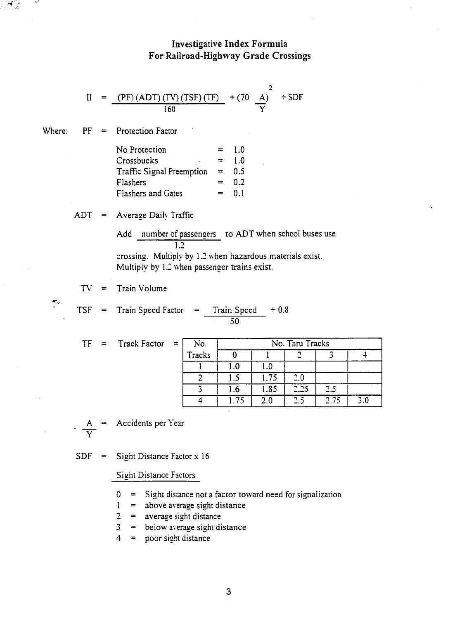## Investigative Index Formula For Railroad-Highway Grade Crossings

$$
II = \frac{(PF)(ADT)(TV)(TSF)(TF)}{160} + (70 \frac{A}{Y})^2 + SDF
$$

Where:  $PF =$  Protection Factor

| No Protection             | $=$ | 1.0 |
|---------------------------|-----|-----|
| Crossbucks                | $=$ | 1 O |
| Traffic Signal Preemption | $=$ | 0.5 |
| Flashers                  | $=$ | 0.2 |
| Flashers and Gates        | $=$ | 0.1 |

 $TSF = Train Speed Factor = Train Speed + 0.8$ 

ADT = Average Daily Traffic

Add number of passengers to ADT when school buses use 1.2 crossing. Multiply by 1.2 when hazardous materials exist. Multiply by 1.2 when passenger trains exist.

50

 $TV =$  Train Volume

 $\frac{1}{2}$ 

 $\mathcal{A}$  in the  $\mathcal{A}$ 

|  |  | Track Fac |  |  |  |
|--|--|-----------|--|--|--|
|  |  |           |  |  |  |
|  |  |           |  |  |  |

| $TF =$ | Track Factor | $=$ | No.    | No. Thru Tracks |      |      |      |     |
|--------|--------------|-----|--------|-----------------|------|------|------|-----|
|        |              |     | Tracks |                 |      |      |      |     |
|        |              |     |        | 1.0             | 1.0  |      |      |     |
|        |              |     |        | 1.5             | 1.75 | 2.0  |      |     |
|        |              |     |        | I.6             | 1.85 | 2.25 | 2.5  |     |
|        |              |     |        | 1.75            | 2.0  | 2.5  | 2.75 | 3.0 |

 $\frac{A}{V}$ 

Accidents per Year

 $SDF =$  Sight Distance Factor x 16

Sight Distance Factors

- 0 = Sight distance not a factor toward need for signalization
- $1 =$  above average sight distance
- $2 =$  average sight distance
- $3 =$  below average sight distance
- $4 =$  poor sight distance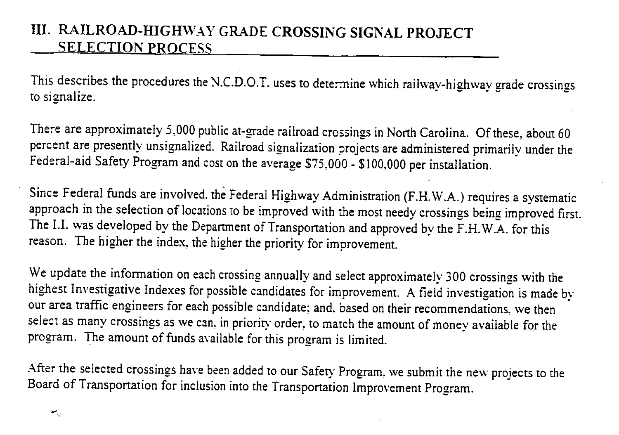# III. RAILROAD-HIGHWAY GRADE CROSSING SIGNAL PROJECT SELECTION PROCESS

This describes the procedures the N.C.D.O.T. uses to determine which railway-highway grade crossings to signalize.

There are approximately 5,000 public at-grade railroad crossings in North Carolina. Of these, about 60 percent are presently unsignalized. Railroad signalization projects are administered primarily under the Federal-aid Safety Program and cost on the average \$75,000 - \$100,000 per installation.

Since Federal funds are involved, the Federal Highway Administration (F .H. \V.A.) requires a systematic approach in the selection of locations to be improved with the most needy crossings being improved first. The I.I. was developed by the Department of Transportation and approved by the F.H.W.A. for this reason. The higher the index, the higher the priority for improvement.

We update the information on each crossing annually and select approximately 300 crossings with the highest Investigative Indexes for possible candidates for improvement. A field investigation is made by our area traffic engineers for each possible candidate; and, based on their recommendations, we then select as many crossings as we can, in priority order, to match the amount of money available for the program. The amount of funds available for this program is limited.

After the selected crossings have been added to our Safety Program, we submit the new projects to the Board of Transportation for inclusion into the Transportation Improvement Program.